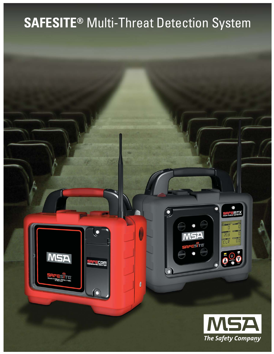# **SAFESITE®** Multi-Threat Detection System

 $\pmb{\theta}$ 

**MSA** 

**RECOM** 



<u>AFEMTX</u>

O  $\frac{1}{10}$ 

 $\overline{0}$ 

 $\frac{1}{2}$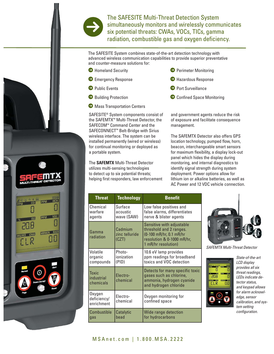

HCN

**VOC** 

PPM

**MRM/H RAD** 

The SAFESITE Multi-Threat Detection System simultaneously monitors and wirelessly communicates six potential threats: CWAs, VOCs, TICs, gamma<br>radiation, combustible gas and oxygen deficiency.

The SAFESITE System combines state-of-the-art detection technology with advanced wireless communication capabilities to provide superior preventative and counter-measure solutions for:

- $\bullet$  Homeland Security
- **Emergency Response**
- **E** Public Events
- **Building Protection**
- $\Theta$  Mass Transportation Centers

SAFESITE® System components consist of the SAFEMTX™ Multi-Threat Detector, the SAFECOM™ Command Center and the SAFECONNECT™ Belt-Bridge with Sirius wireless interface. The system can be installed permanently (wired or wireless) for continual monitoring or deployed as a portable system.

The **SAFEMTX** Multi-Threat Detector utilizes multi-sensing technologies to detect up to six potential threats; helping first responders, law enforcement and government agents reduce the risk of exposure and facilitate consequence management.

**• Perimeter Monitoring** 

5 Hazardous Response

 $\bullet$  Confined Space Monitoring

**O** Port Surveillance

The SAFEMTX Detector also offers GPS location technology, pumped flow, horn, beacon, interchangeable smart sensors for maximum flexibility, a display lock-out panel which hides the display during monitoring, and internal diagnostics to identify signal strength during system deployment. Power options allow for lithium ion or alkaline batteries, as well as AC Power and 12 VDC vehicle connection.

| <b>Threat</b>                       | <b>Technology</b>                  | <b>Benefit</b>                                                                                                                       |
|-------------------------------------|------------------------------------|--------------------------------------------------------------------------------------------------------------------------------------|
| Chemical<br>warfare<br>agents       | Surface<br>acoustic<br>wave (SAW)  | Low false positives and<br>false alarms, differentiates<br>nerve & blister agents                                                    |
| Gamma<br>radiation                  | Cadmium<br>zinc telluride<br>(CZT) | Sensitive with adjustable<br>threshold and 2 ranges.<br>(0-100 mR/hr, 0.1 mR/hr<br>resolution & 0-1000 mR/hr,<br>1 mR/hr resolution) |
| Volatile<br>organic<br>compounds    | Photo-<br>ionization<br>(PID)      | 10.6 eV lamp provides<br>ppm readings for broadband<br>toxics and VOC detection                                                      |
| Toxic<br>industrial<br>chemicals    | Electro-<br>chemical               | Detects for many specific toxic<br>gases such as chlorine,<br>ammonia, hydrogen cyanide<br>and hydrogen chloride                     |
| Oxygen<br>deficiency/<br>enrichment | Electro-<br>chemical               | Oxygen monitoring for<br>confined space                                                                                              |
| Combustible<br>gas                  | Catalytic<br>bead                  | Wide range detection<br>for hydrocarbons                                                                                             |



*SAFEMTX Multi-Threat Detector*



*LCD display provides all six threat readings, LEDs indicate detector status, and keypad allows for alarm acknowledge, sensor calibration, and system setting configuration.*

*State-of-the-art*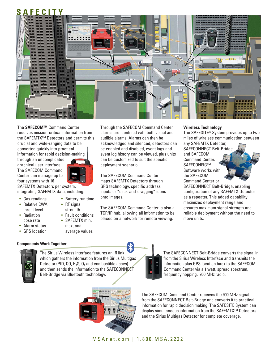

The **SAFECOM™** Command Center receives mission-critical information from the SAFEMTX™ Detectors and permits this crucial and wide-ranging data to be converted quickly into practical information for rapid decision-making

through an uncomplicated graphical user interface. The SAFECOM Command Center can manage up to four systems with 16

SAFEMTX Detectors per system, integrating SAFEMTX data, including:

- Gas readings
- Relative CWA threat level
- Radiation dose rate
- Alarm status
- GPS location
- Battery run time • RF signal
- strength
- Fault conditions
- SAFFMTX min
- max, and
- average values

### **Components Work Together**



.

The Sirius Wireless Interface features an IR link which gathers the information from the Sirius Multigas Detector (PID, CO,  $H_2S$ , O<sub>2</sub> and combustible gases) and then sends the information to the SAFECONNECT Belt-Bridge via Bluetooth technology.



deployment scenario.

The SAFECOM Command Center maps SAFEMTX Detectors through GPS technology, specific address inputs or "click-and-dragging" icons onto images.

The SAFECOM Command Center is also a TCP/IP hub, allowing all information to be placed on a network for remote viewing.

### **Wireless Technology**

the SAFECOM

The SAFESITE® System provides up to two miles of wireless communication between any SAFEMTX Detector, SAFECONNECT Belt-Bridge and SAFECOM Command Center. SAFFCONFIG™ Software works with

Command Center or SAFECONNECT Belt-Bridge, enabling configuration of any SAFEMTX Detector as a repeater. This added capability maximizes deployment range and ensures maximum signal strength and reliable deployment without the need to move units.



The SAFECONNECT Belt-Bridge converts the signal in from the Sirius Wireless Interface and transmits the information plus GPS location back to the SAFECOM Command Center via a 1 watt, spread spectrum, frequency hopping, 900 MHz radio.

The SAFECOM Command Center receives the 900 MHz signal from the SAFECONNECT Belt-Bridge and converts it to practical information for rapid decision making. The SAFESITE System can display simultaneous information from the SAFEMTX™ Detectors and the Sirius Multigas Detector for complete coverage.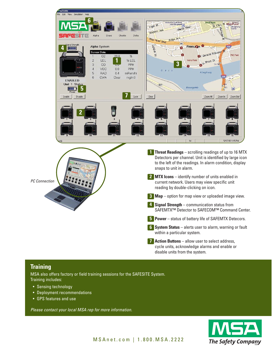

# **Training**

MSA also offers factory or field training sessions for the SAFESITE System. Training includes:

- Sensing technology
- Deployment recommendations
- GPS features and use

*Please contact your local MSA rep for more information.*

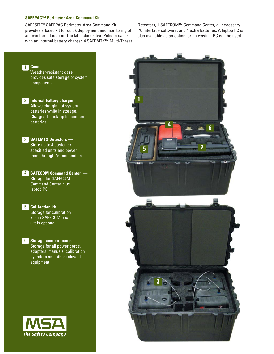### **SAFEPAC™ Perimeter Area Command Kit**

**The Safety Company** 

SAFESITE® SAFEPAC Perimeter Area Command Kit provides a basic kit for quick deployment and monitoring of an event or a location. The kit includes two Pelican cases with an internal battery charger, 4 SAFEMTX<sup>™</sup> Multi-Threat Detectors, 1 SAFECOM™ Command Center, all necessary PC interface software, and 4 extra batteries. A laptop PC is also available as an option, or an existing PC can be used.